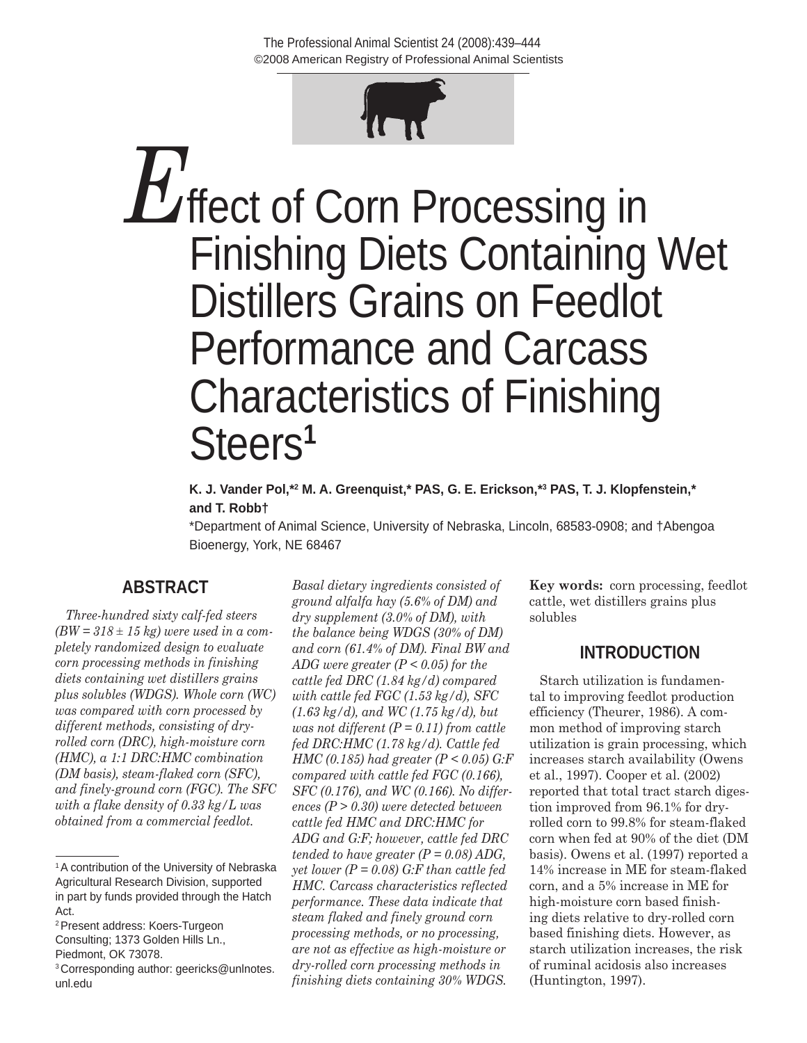

**E**<br>**E**ffect of Corn Processing in Finishing Diets Containing Wet Distillers Grains on Feedlot Performance and Carcass Characteristics of Finishing Steers**<sup>1</sup>**

#### **K. J. Vander Pol,\*2 M. A. Greenquist,\* PAS, G. E. Erickson,\*3 PAS, T. J. Klopfenstein,\* and T. Robb†**

\*Department of Animal Science, University of Nebraska, Lincoln, 68583-0908; and †Abengoa Bioenergy, York, NE 68467

# **ABSTRACT**

*Three-hundred sixty calf-fed steers (BW = 318 ± 15 kg) were used in a completely randomized design to evaluate corn processing methods in finishing diets containing wet distillers grains plus solubles (WDGS). Whole corn (WC) was compared with corn processed by different methods, consisting of dryrolled corn (DRC), high-moisture corn (HMC), a 1:1 DRC:HMC combination (DM basis), steam-flaked corn (SFC), and finely-ground corn (FGC). The SFC with a flake density of 0.33 kg/L was obtained from a commercial feedlot.* 

2Present address: Koers-Turgeon Consulting; 1373 Golden Hills Ln., Piedmont, OK 73078.

*Basal dietary ingredients consisted of ground alfalfa hay (5.6% of DM) and dry supplement (3.0% of DM), with the balance being WDGS (30% of DM) and corn (61.4% of DM). Final BW and ADG were greater (P < 0.05) for the cattle fed DRC (1.84 kg/d) compared with cattle fed FGC (1.53 kg/d), SFC (1.63 kg/d), and WC (1.75 kg/d), but was not different (P = 0.11) from cattle fed DRC:HMC (1.78 kg/d). Cattle fed HMC (0.185) had greater (P < 0.05) G:F compared with cattle fed FGC (0.166), SFC (0.176), and WC (0.166). No differences (P > 0.30) were detected between cattle fed HMC and DRC:HMC for ADG and G:F; however, cattle fed DRC tended to have greater (P = 0.08) ADG, yet lower (P = 0.08) G:F than cattle fed HMC. Carcass characteristics reflected performance. These data indicate that steam flaked and finely ground corn processing methods, or no processing, are not as effective as high-moisture or dry-rolled corn processing methods in finishing diets containing 30% WDGS.*

**Key words:** corn processing, feedlot cattle, wet distillers grains plus solubles

# **INTRODUCTION**

Starch utilization is fundamental to improving feedlot production efficiency (Theurer, 1986). A common method of improving starch utilization is grain processing, which increases starch availability (Owens et al., 1997). Cooper et al. (2002) reported that total tract starch digestion improved from 96.1% for dryrolled corn to 99.8% for steam-flaked corn when fed at 90% of the diet (DM basis). Owens et al. (1997) reported a 14% increase in ME for steam-flaked corn, and a 5% increase in ME for high-moisture corn based finishing diets relative to dry-rolled corn based finishing diets. However, as starch utilization increases, the risk of ruminal acidosis also increases (Huntington, 1997).

<sup>&</sup>lt;sup>1</sup>A contribution of the University of Nebraska Agricultural Research Division, supported in part by funds provided through the Hatch Act.

<sup>3</sup>Corresponding author: geericks@unlnotes. unl.edu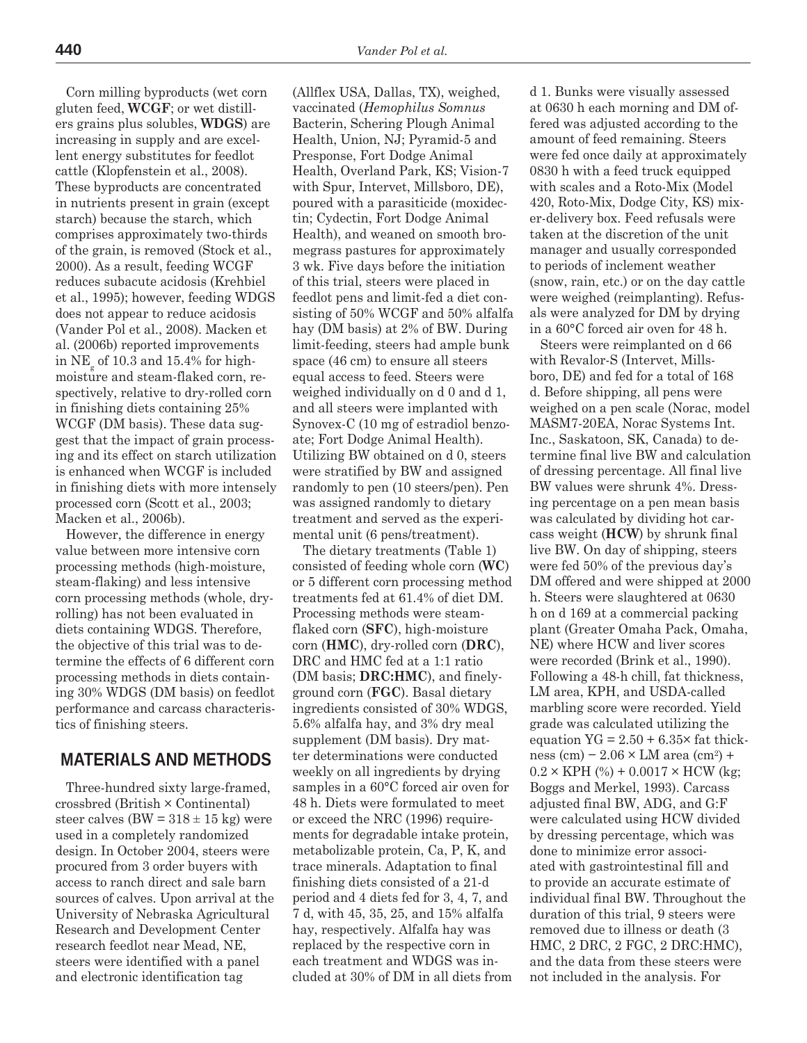Corn milling byproducts (wet corn gluten feed, **WCGF**; or wet distillers grains plus solubles, **WDGS**) are increasing in supply and are excellent energy substitutes for feedlot cattle (Klopfenstein et al., 2008). These byproducts are concentrated in nutrients present in grain (except starch) because the starch, which comprises approximately two-thirds of the grain, is removed (Stock et al., 2000). As a result, feeding WCGF reduces subacute acidosis (Krehbiel et al., 1995); however, feeding WDGS does not appear to reduce acidosis (Vander Pol et al., 2008). Macken et al. (2006b) reported improvements in  $\mathrm{NE}_{\mathrm{g}}$  of 10.3 and 15.4% for highmoisture and steam-flaked corn, respectively, relative to dry-rolled corn in finishing diets containing 25% WCGF (DM basis). These data suggest that the impact of grain processing and its effect on starch utilization is enhanced when WCGF is included in finishing diets with more intensely processed corn (Scott et al., 2003; Macken et al., 2006b).

However, the difference in energy value between more intensive corn processing methods (high-moisture, steam-flaking) and less intensive corn processing methods (whole, dryrolling) has not been evaluated in diets containing WDGS. Therefore, the objective of this trial was to determine the effects of 6 different corn processing methods in diets containing 30% WDGS (DM basis) on feedlot performance and carcass characteristics of finishing steers.

### **MATERIALS AND METHODS**

Three-hundred sixty large-framed, crossbred (British × Continental) steer calves (BW =  $318 \pm 15$  kg) were used in a completely randomized design. In October 2004, steers were procured from 3 order buyers with access to ranch direct and sale barn sources of calves. Upon arrival at the University of Nebraska Agricultural Research and Development Center research feedlot near Mead, NE, steers were identified with a panel and electronic identification tag

(Allflex USA, Dallas, TX), weighed, vaccinated (*Hemophilus Somnus* Bacterin, Schering Plough Animal Health, Union, NJ; Pyramid-5 and Presponse, Fort Dodge Animal Health, Overland Park, KS; Vision-7 with Spur, Intervet, Millsboro, DE), poured with a parasiticide (moxidectin; Cydectin, Fort Dodge Animal Health), and weaned on smooth bromegrass pastures for approximately 3 wk. Five days before the initiation of this trial, steers were placed in feedlot pens and limit-fed a diet consisting of 50% WCGF and 50% alfalfa hay (DM basis) at 2% of BW. During limit-feeding, steers had ample bunk space (46 cm) to ensure all steers equal access to feed. Steers were weighed individually on d 0 and d 1, and all steers were implanted with Synovex-C (10 mg of estradiol benzoate; Fort Dodge Animal Health). Utilizing BW obtained on d 0, steers were stratified by BW and assigned randomly to pen (10 steers/pen). Pen was assigned randomly to dietary treatment and served as the experimental unit (6 pens/treatment).

The dietary treatments (Table 1) consisted of feeding whole corn (**WC**) or 5 different corn processing method treatments fed at 61.4% of diet DM. Processing methods were steamflaked corn (**SFC**), high-moisture corn (**HMC**), dry-rolled corn (**DRC**), DRC and HMC fed at a 1:1 ratio (DM basis; **DRC:HMC**), and finelyground corn (**FGC**). Basal dietary ingredients consisted of 30% WDGS, 5.6% alfalfa hay, and 3% dry meal supplement (DM basis). Dry matter determinations were conducted weekly on all ingredients by drying samples in a 60°C forced air oven for 48 h. Diets were formulated to meet or exceed the NRC (1996) requirements for degradable intake protein, metabolizable protein, Ca, P, K, and trace minerals. Adaptation to final finishing diets consisted of a 21-d period and 4 diets fed for 3, 4, 7, and 7 d, with 45, 35, 25, and 15% alfalfa hay, respectively. Alfalfa hay was replaced by the respective corn in each treatment and WDGS was included at 30% of DM in all diets from d 1. Bunks were visually assessed at 0630 h each morning and DM offered was adjusted according to the amount of feed remaining. Steers were fed once daily at approximately 0830 h with a feed truck equipped with scales and a Roto-Mix (Model 420, Roto-Mix, Dodge City, KS) mixer-delivery box. Feed refusals were taken at the discretion of the unit manager and usually corresponded to periods of inclement weather (snow, rain, etc.) or on the day cattle were weighed (reimplanting). Refusals were analyzed for DM by drying in a 60°C forced air oven for 48 h.

Steers were reimplanted on d 66 with Revalor-S (Intervet, Millsboro, DE) and fed for a total of 168 d. Before shipping, all pens were weighed on a pen scale (Norac, model MASM7-20EA, Norac Systems Int. Inc., Saskatoon, SK, Canada) to determine final live BW and calculation of dressing percentage. All final live BW values were shrunk 4%. Dressing percentage on a pen mean basis was calculated by dividing hot carcass weight (**HCW**) by shrunk final live BW. On day of shipping, steers were fed 50% of the previous day's DM offered and were shipped at 2000 h. Steers were slaughtered at 0630 h on d 169 at a commercial packing plant (Greater Omaha Pack, Omaha, NE) where HCW and liver scores were recorded (Brink et al., 1990). Following a 48-h chill, fat thickness, LM area, KPH, and USDA-called marbling score were recorded. Yield grade was calculated utilizing the equation  $YG = 2.50 + 6.35 \times$  fat thickness (cm) –  $2.06 \times LM$  area (cm<sup>2</sup>) +  $0.2 \times$  KPH  $(%) + 0.0017 \times$  HCW (kg: Boggs and Merkel, 1993). Carcass adjusted final BW, ADG, and G:F were calculated using HCW divided by dressing percentage, which was done to minimize error associated with gastrointestinal fill and to provide an accurate estimate of individual final BW. Throughout the duration of this trial, 9 steers were removed due to illness or death (3 HMC, 2 DRC, 2 FGC, 2 DRC:HMC), and the data from these steers were not included in the analysis. For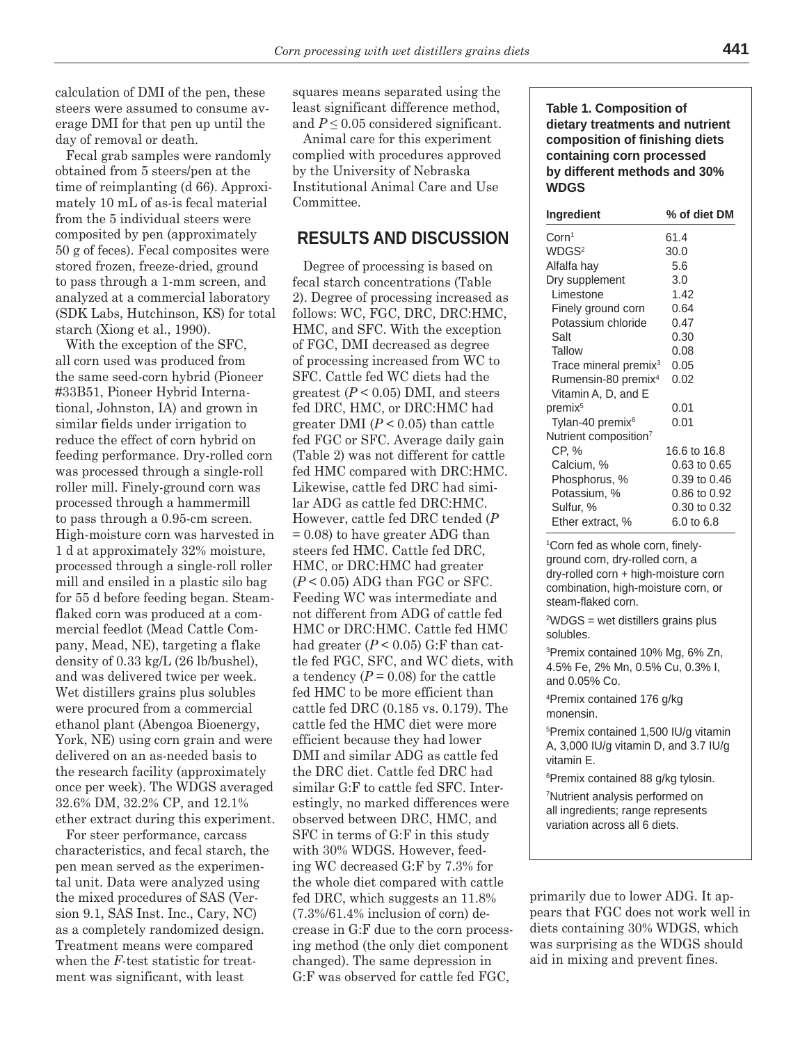calculation of DMI of the pen, these steers were assumed to consume average DMI for that pen up until the day of removal or death.

Fecal grab samples were randomly obtained from 5 steers/pen at the time of reimplanting (d 66). Approximately 10 mL of as-is fecal material from the 5 individual steers were composited by pen (approximately 50 g of feces). Fecal composites were stored frozen, freeze-dried, ground to pass through a 1-mm screen, and analyzed at a commercial laboratory (SDK Labs, Hutchinson, KS) for total starch (Xiong et al., 1990).

With the exception of the SFC, all corn used was produced from the same seed-corn hybrid (Pioneer #33B51, Pioneer Hybrid International, Johnston, IA) and grown in similar fields under irrigation to reduce the effect of corn hybrid on feeding performance. Dry-rolled corn was processed through a single-roll roller mill. Finely-ground corn was processed through a hammermill to pass through a 0.95-cm screen. High-moisture corn was harvested in 1 d at approximately 32% moisture, processed through a single-roll roller mill and ensiled in a plastic silo bag for 55 d before feeding began. Steamflaked corn was produced at a commercial feedlot (Mead Cattle Company, Mead, NE), targeting a flake density of 0.33 kg/L (26 lb/bushel), and was delivered twice per week. Wet distillers grains plus solubles were procured from a commercial ethanol plant (Abengoa Bioenergy, York, NE) using corn grain and were delivered on an as-needed basis to the research facility (approximately once per week). The WDGS averaged 32.6% DM, 32.2% CP, and 12.1% ether extract during this experiment.

For steer performance, carcass characteristics, and fecal starch, the pen mean served as the experimental unit. Data were analyzed using the mixed procedures of SAS (Version 9.1, SAS Inst. Inc., Cary, NC) as a completely randomized design. Treatment means were compared when the *F*-test statistic for treatment was significant, with least

squares means separated using the least significant difference method, and  $P \leq 0.05$  considered significant.

Animal care for this experiment complied with procedures approved by the University of Nebraska Institutional Animal Care and Use Committee.

### **RESULTS AND DISCUSSION**

Degree of processing is based on fecal starch concentrations (Table 2). Degree of processing increased as follows: WC, FGC, DRC, DRC:HMC, HMC, and SFC. With the exception of FGC, DMI decreased as degree of processing increased from WC to SFC. Cattle fed WC diets had the greatest  $(P < 0.05)$  DMI, and steers fed DRC, HMC, or DRC:HMC had greater DMI  $(P < 0.05)$  than cattle fed FGC or SFC. Average daily gain (Table 2) was not different for cattle fed HMC compared with DRC:HMC. Likewise, cattle fed DRC had similar ADG as cattle fed DRC:HMC. However, cattle fed DRC tended (*P*  $= 0.08$ ) to have greater ADG than steers fed HMC. Cattle fed DRC, HMC, or DRC:HMC had greater  $(P < 0.05)$  ADG than FGC or SFC. Feeding WC was intermediate and not different from ADG of cattle fed HMC or DRC:HMC. Cattle fed HMC had greater  $(P < 0.05)$  G:F than cattle fed FGC, SFC, and WC diets, with a tendency  $(P = 0.08)$  for the cattle fed HMC to be more efficient than cattle fed DRC (0.185 vs. 0.179). The cattle fed the HMC diet were more efficient because they had lower DMI and similar ADG as cattle fed the DRC diet. Cattle fed DRC had similar G:F to cattle fed SFC. Interestingly, no marked differences were observed between DRC, HMC, and SFC in terms of G:F in this study with 30% WDGS. However, feeding WC decreased G:F by 7.3% for the whole diet compared with cattle fed DRC, which suggests an 11.8% (7.3%/61.4% inclusion of corn) decrease in G:F due to the corn processing method (the only diet component changed). The same depression in G:F was observed for cattle fed FGC,

**Table 1. Composition of dietary treatments and nutrient composition of finishing diets containing corn processed by different methods and 30% WDGS** 

| Ingredient                        | % of diet DM |
|-----------------------------------|--------------|
| $\mathrm{Corn}^1$                 | 61.4         |
| WDGS <sup>2</sup>                 | 30.0         |
| Alfalfa hay                       | 5.6          |
| Dry supplement                    | 3.0          |
| Limestone                         | 1.42         |
| Finely ground corn                | 0.64         |
| Potassium chloride                | 0.47         |
| Salt                              | 0.30         |
| Tallow                            | 0.08         |
| Trace mineral premix <sup>3</sup> | 0.05         |
| Rumensin-80 premix <sup>4</sup>   | 0.02         |
| Vitamin A, D, and E               |              |
| premix <sup>5</sup>               | 0.01         |
| Tylan-40 premix <sup>6</sup>      | 0.01         |
| Nutrient composition <sup>7</sup> |              |
| CP, %                             | 16.6 to 16.8 |
| Calcium, %                        | 0.63 to 0.65 |
| Phosphorus, %                     | 0.39 to 0.46 |
| Potassium, %                      | 0.86 to 0.92 |
| Sulfur, %                         | 0.30 to 0.32 |
| Ether extract, %                  | 6.0 to 6.8   |

1 Corn fed as whole corn, finelyground corn, dry-rolled corn, a dry-rolled corn + high-moisture corn combination, high-moisture corn, or steam-flaked corn.

2 WDGS = wet distillers grains plus solubles.

3 Premix contained 10% Mg, 6% Zn, 4.5% Fe, 2% Mn, 0.5% Cu, 0.3% I, and 0.05% Co.

4 Premix contained 176 g/kg monensin.

5 Premix contained 1,500 IU/g vitamin A, 3,000 IU/g vitamin D, and 3.7 IU/g vitamin E.

6 Premix contained 88 g/kg tylosin.

7 Nutrient analysis performed on all ingredients; range represents variation across all 6 diets.

primarily due to lower ADG. It appears that FGC does not work well in diets containing 30% WDGS, which was surprising as the WDGS should aid in mixing and prevent fines.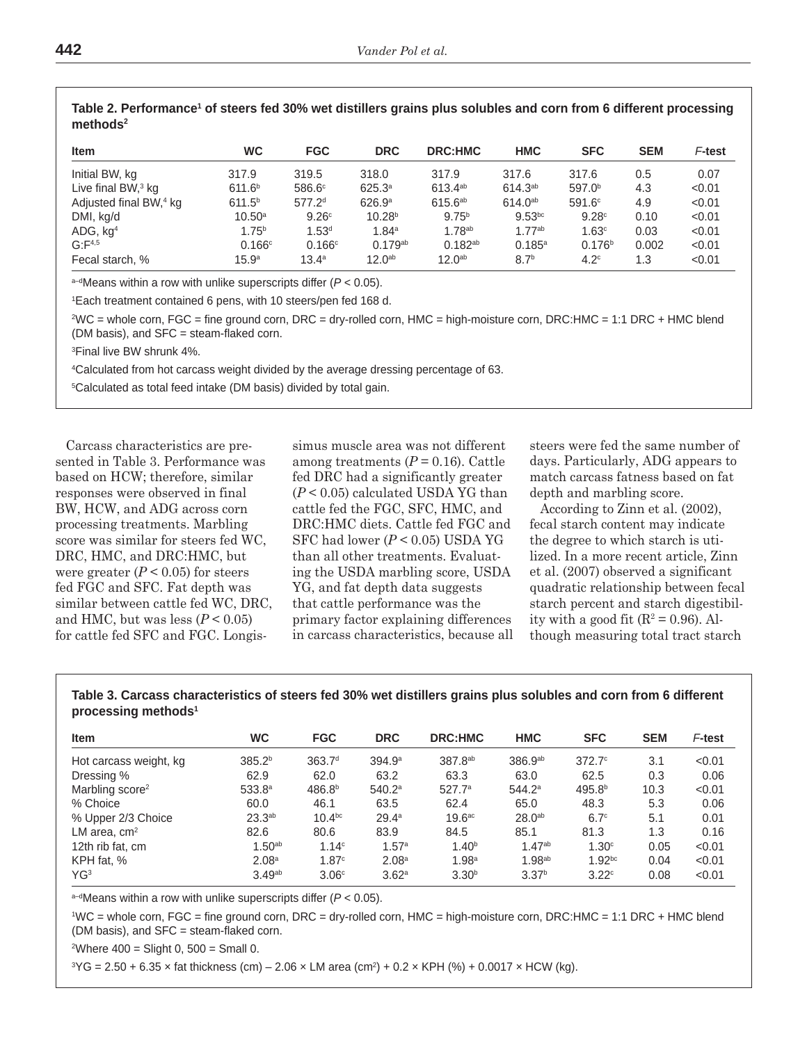| <b>Item</b>                        | <b>WC</b>          | <b>FGC</b>         | <b>DRC</b>         | <b>DRC:HMC</b>     | <b>HMC</b>         | <b>SFC</b>         | <b>SEM</b> | F-test |
|------------------------------------|--------------------|--------------------|--------------------|--------------------|--------------------|--------------------|------------|--------|
| Initial BW, kg                     | 317.9              | 319.5              | 318.0              | 317.9              | 317.6              | 317.6              | 0.5        | 0.07   |
| Live final $BW^3$ kg               | 611.6 <sup>b</sup> | 586.6 <sup>c</sup> | 625.3a             | $613.4^{ab}$       | $614.3^{ab}$       | 597.0 <sup>b</sup> | 4.3        | < 0.01 |
| Adjusted final BW, <sup>4</sup> kg | 611.5 <sup>b</sup> | 577.2 <sup>d</sup> | 626.9 <sup>a</sup> | $615.6^{ab}$       | $614.0^{ab}$       | $591.6^\circ$      | 4.9        | < 0.01 |
| DMI, kg/d                          | $10.50^{\circ}$    | 9.26c              | 10.28 <sup>b</sup> | 9.75 <sup>b</sup>  | $9.53^{bc}$        | 9.28c              | 0.10       | < 0.01 |
| ADG, kg <sup>4</sup>               | 1.75 <sup>b</sup>  | 1.53 <sup>d</sup>  | 1.84 <sup>a</sup>  | 1.78 <sup>ab</sup> | 1.77 <sup>ab</sup> | 1.63c              | 0.03       | < 0.01 |
| G: F <sup>4,5</sup>                | 0.166c             | 0.166c             | $0.179^{ab}$       | $0.182^{ab}$       | $0.185^{a}$        | 0.176 <sup>b</sup> | 0.002      | < 0.01 |
| Fecal starch, %                    | 15.9 <sup>a</sup>  | $13.4^{\circ}$     | 12.0 <sup>ab</sup> | 12.0 <sup>ab</sup> | 8.7 <sup>b</sup>   | 4.2 <sup>c</sup>   | 1.3        | < 0.01 |

Table 2. Performance<sup>1</sup> of steers fed 30% wet distillers grains plus solubles and corn from 6 different processing **methods2**

a–dMeans within a row with unlike superscripts differ (*P* < 0.05).

1 Each treatment contained 6 pens, with 10 steers/pen fed 168 d.

2 WC = whole corn, FGC = fine ground corn, DRC = dry-rolled corn, HMC = high-moisture corn, DRC:HMC = 1:1 DRC + HMC blend (DM basis), and SFC = steam-flaked corn.

3 Final live BW shrunk 4%.

4 Calculated from hot carcass weight divided by the average dressing percentage of 63.

5 Calculated as total feed intake (DM basis) divided by total gain.

Carcass characteristics are presented in Table 3. Performance was based on HCW; therefore, similar responses were observed in final BW, HCW, and ADG across corn processing treatments. Marbling score was similar for steers fed WC, DRC, HMC, and DRC:HMC, but were greater  $(P < 0.05)$  for steers fed FGC and SFC. Fat depth was similar between cattle fed WC, DRC, and HMC, but was less  $(P < 0.05)$ for cattle fed SFC and FGC. Longis-

simus muscle area was not different among treatments  $(P = 0.16)$ . Cattle fed DRC had a significantly greater (*P* < 0.05) calculated USDA YG than cattle fed the FGC, SFC, HMC, and DRC:HMC diets. Cattle fed FGC and SFC had lower (*P* < 0.05) USDA YG than all other treatments. Evaluating the USDA marbling score, USDA YG, and fat depth data suggests that cattle performance was the primary factor explaining differences in carcass characteristics, because all steers were fed the same number of days. Particularly, ADG appears to match carcass fatness based on fat depth and marbling score.

According to Zinn et al. (2002), fecal starch content may indicate the degree to which starch is utilized. In a more recent article, Zinn et al. (2007) observed a significant quadratic relationship between fecal starch percent and starch digestibility with a good fit  $(R^2 = 0.96)$ . Although measuring total tract starch

**Table 3. Carcass characteristics of steers fed 30% wet distillers grains plus solubles and corn from 6 different processing methods1**

| <b>Item</b>                 | WC                 | <b>FGC</b>         | <b>DRC</b>         | <b>DRC:HMC</b>      | <b>HMC</b>          | <b>SFC</b>         | <b>SEM</b> | F-test |
|-----------------------------|--------------------|--------------------|--------------------|---------------------|---------------------|--------------------|------------|--------|
| Hot carcass weight, kg      | 385.2 <sup>b</sup> | 363.7 <sup>d</sup> | 394.9 <sup>a</sup> | 387.8 <sup>ab</sup> | 386.9a <sub>b</sub> | $372.7^\circ$      | 3.1        | < 0.01 |
| Dressing %                  | 62.9               | 62.0               | 63.2               | 63.3                | 63.0                | 62.5               | 0.3        | 0.06   |
| Marbling score <sup>2</sup> | 533.8a             | 486.8 <sup>b</sup> | 540.2 <sup>a</sup> | 527.7a              | $544.2^a$           | 495.8 <sup>b</sup> | 10.3       | < 0.01 |
| % Choice                    | 60.0               | 46.1               | 63.5               | 62.4                | 65.0                | 48.3               | 5.3        | 0.06   |
| % Upper 2/3 Choice          | 23.3 <sup>ab</sup> | 10.4 <sup>bc</sup> | 29.4 <sup>a</sup>  | 19.6 <sup>ac</sup>  | $28.0^{ab}$         | 6.7 <sup>c</sup>   | 5.1        | 0.01   |
| LM area, $cm2$              | 82.6               | 80.6               | 83.9               | 84.5                | 85.1                | 81.3               | 1.3        | 0.16   |
| 12th rib fat, cm            | 1.50 <sup>ab</sup> | 1.14 <sup>c</sup>  | 1.57a              | 1.40 <sup>b</sup>   | $1.47^{ab}$         | 1.30 <sup>c</sup>  | 0.05       | < 0.01 |
| KPH fat. %                  | 2.08 <sup>a</sup>  | 1.87c              | 2.08 <sup>a</sup>  | 1.98 <sup>a</sup>   | 1.98 <sup>ab</sup>  | 1.92 <sup>bc</sup> | 0.04       | < 0.01 |
| YG3                         | 3.49 <sup>ab</sup> | 3.06 <sup>c</sup>  | 3.62 <sup>a</sup>  | 3.30 <sup>b</sup>   | 3.37 <sup>b</sup>   | 3.22c              | 0.08       | < 0.01 |

a–dMeans within a row with unlike superscripts differ (*P* < 0.05).

1 WC = whole corn, FGC = fine ground corn, DRC = dry-rolled corn, HMC = high-moisture corn, DRC:HMC = 1:1 DRC + HMC blend (DM basis), and SFC = steam-flaked corn.

2 Where 400 = Slight 0, 500 = Small 0.

 ${}^{3}$ YG = 2.50 + 6.35 × fat thickness (cm) – 2.06 × LM area (cm²) + 0.2 × KPH (%) + 0.0017 × HCW (kg).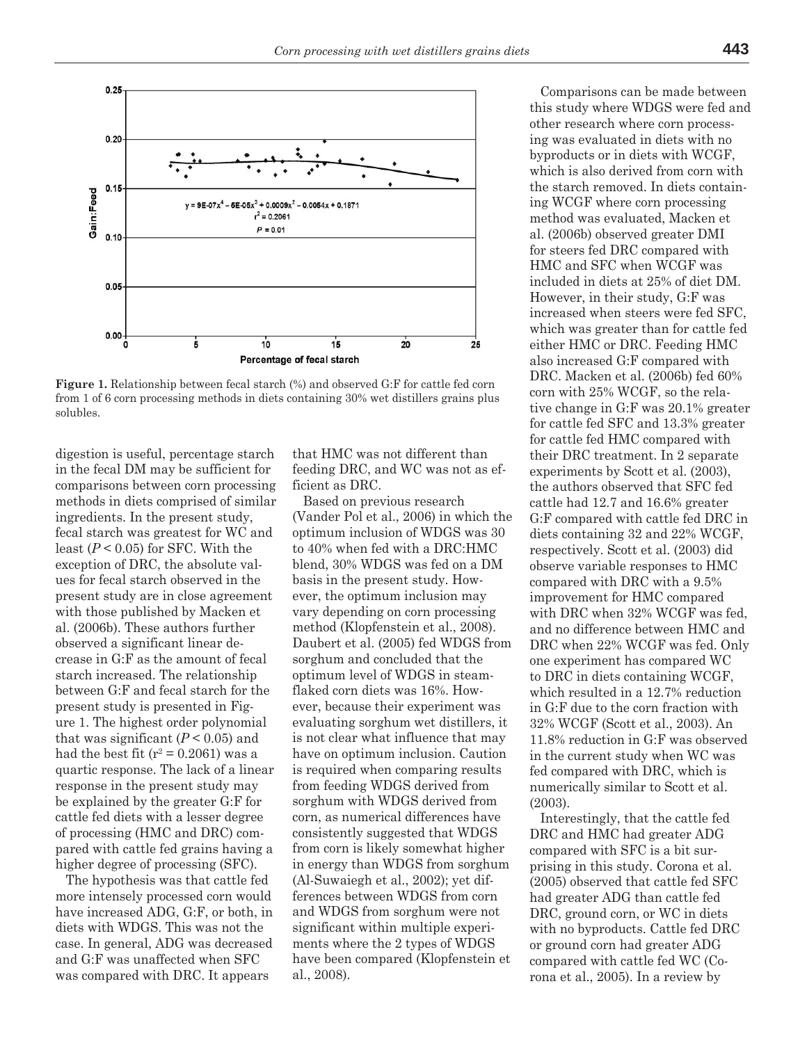

**Figure 1.** Relationship between fecal starch (%) and observed G:F for cattle fed corn from 1 of 6 corn processing methods in diets containing 30% wet distillers grains plus solubles.

digestion is useful, percentage starch in the fecal DM may be sufficient for comparisons between corn processing methods in diets comprised of similar ingredients. In the present study, fecal starch was greatest for WC and least  $(P < 0.05)$  for SFC. With the exception of DRC, the absolute values for fecal starch observed in the present study are in close agreement with those published by Macken et al. (2006b). These authors further observed a significant linear decrease in G:F as the amount of fecal starch increased. The relationship between G:F and fecal starch for the present study is presented in Figure 1. The highest order polynomial that was significant  $(P < 0.05)$  and had the best fit ( $r^2$  = 0.2061) was a quartic response. The lack of a linear response in the present study may be explained by the greater G:F for cattle fed diets with a lesser degree of processing (HMC and DRC) compared with cattle fed grains having a higher degree of processing (SFC).

The hypothesis was that cattle fed more intensely processed corn would have increased ADG, G:F, or both, in diets with WDGS. This was not the case. In general, ADG was decreased and G:F was unaffected when SFC was compared with DRC. It appears

that HMC was not different than feeding DRC, and WC was not as efficient as DRC.

Based on previous research (Vander Pol et al., 2006) in which the optimum inclusion of WDGS was 30 to 40% when fed with a DRC:HMC blend, 30% WDGS was fed on a DM basis in the present study. However, the optimum inclusion may vary depending on corn processing method (Klopfenstein et al., 2008). Daubert et al. (2005) fed WDGS from sorghum and concluded that the optimum level of WDGS in steamflaked corn diets was 16%. However, because their experiment was evaluating sorghum wet distillers, it is not clear what influence that may have on optimum inclusion. Caution is required when comparing results from feeding WDGS derived from sorghum with WDGS derived from corn, as numerical differences have consistently suggested that WDGS from corn is likely somewhat higher in energy than WDGS from sorghum (Al-Suwaiegh et al., 2002); yet differences between WDGS from corn and WDGS from sorghum were not significant within multiple experiments where the 2 types of WDGS have been compared (Klopfenstein et al., 2008).

Comparisons can be made between this study where WDGS were fed and other research where corn processing was evaluated in diets with no byproducts or in diets with WCGF, which is also derived from corn with the starch removed. In diets containing WCGF where corn processing method was evaluated, Macken et al. (2006b) observed greater DMI for steers fed DRC compared with HMC and SFC when WCGF was included in diets at 25% of diet DM. However, in their study, G:F was increased when steers were fed SFC, which was greater than for cattle fed either HMC or DRC. Feeding HMC also increased G:F compared with DRC. Macken et al. (2006b) fed 60% corn with 25% WCGF, so the relative change in G:F was 20.1% greater for cattle fed SFC and 13.3% greater for cattle fed HMC compared with their DRC treatment. In 2 separate experiments by Scott et al. (2003), the authors observed that SFC fed cattle had 12.7 and 16.6% greater G:F compared with cattle fed DRC in diets containing 32 and 22% WCGF, respectively. Scott et al. (2003) did observe variable responses to HMC compared with DRC with a 9.5% improvement for HMC compared with DRC when 32% WCGF was fed, and no difference between HMC and DRC when 22% WCGF was fed. Only one experiment has compared WC to DRC in diets containing WCGF, which resulted in a 12.7% reduction in G:F due to the corn fraction with 32% WCGF (Scott et al., 2003). An 11.8% reduction in G:F was observed in the current study when WC was fed compared with DRC, which is numerically similar to Scott et al. (2003).

Interestingly, that the cattle fed DRC and HMC had greater ADG compared with SFC is a bit surprising in this study. Corona et al. (2005) observed that cattle fed SFC had greater ADG than cattle fed DRC, ground corn, or WC in diets with no byproducts. Cattle fed DRC or ground corn had greater ADG compared with cattle fed WC (Corona et al., 2005). In a review by